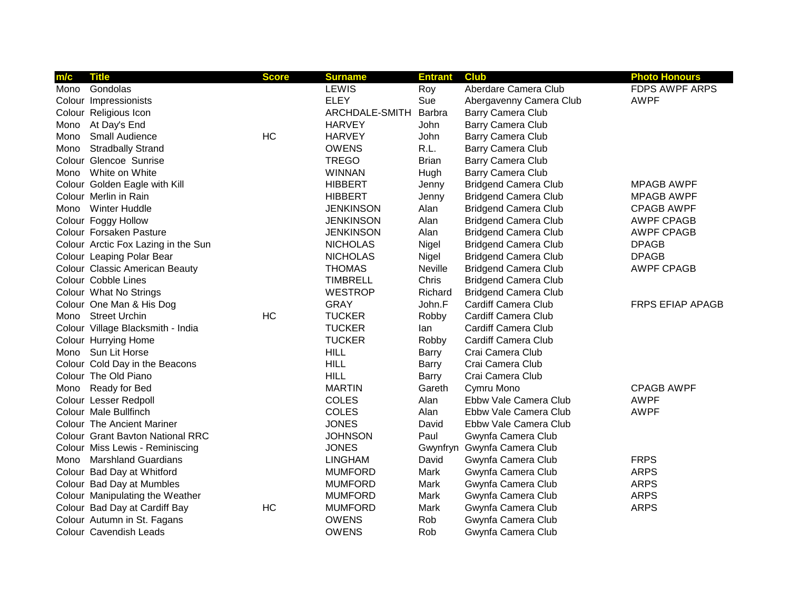| m/c  | <b>Title</b>                        | <b>Score</b> | <b>Surname</b>   | <b>Entrant</b> | <b>Club</b>                 | <b>Photo Honours</b>    |
|------|-------------------------------------|--------------|------------------|----------------|-----------------------------|-------------------------|
| Mono | Gondolas                            |              | <b>LEWIS</b>     | Roy            | Aberdare Camera Club        | <b>FDPS AWPF ARPS</b>   |
|      | Colour Impressionists               |              | <b>ELEY</b>      | Sue            | Abergavenny Camera Club     | <b>AWPF</b>             |
|      | Colour Religious Icon               |              | ARCHDALE-SMITH   | Barbra         | Barry Camera Club           |                         |
| Mono | At Day's End                        |              | <b>HARVEY</b>    | John           | Barry Camera Club           |                         |
| Mono | Small Audience                      | HC           | <b>HARVEY</b>    | John           | Barry Camera Club           |                         |
| Mono | <b>Stradbally Strand</b>            |              | <b>OWENS</b>     | R.L.           | Barry Camera Club           |                         |
|      | Colour Glencoe Sunrise              |              | <b>TREGO</b>     | <b>Brian</b>   | Barry Camera Club           |                         |
|      | Mono White on White                 |              | <b>WINNAN</b>    | Hugh           | Barry Camera Club           |                         |
|      | Colour Golden Eagle with Kill       |              | <b>HIBBERT</b>   | Jenny          | <b>Bridgend Camera Club</b> | <b>MPAGB AWPF</b>       |
|      | Colour Merlin in Rain               |              | <b>HIBBERT</b>   | Jenny          | <b>Bridgend Camera Club</b> | <b>MPAGB AWPF</b>       |
| Mono | Winter Huddle                       |              | <b>JENKINSON</b> | Alan           | <b>Bridgend Camera Club</b> | <b>CPAGB AWPF</b>       |
|      | Colour Foggy Hollow                 |              | <b>JENKINSON</b> | Alan           | <b>Bridgend Camera Club</b> | <b>AWPF CPAGB</b>       |
|      | Colour Forsaken Pasture             |              | <b>JENKINSON</b> | Alan           | <b>Bridgend Camera Club</b> | <b>AWPF CPAGB</b>       |
|      | Colour Arctic Fox Lazing in the Sun |              | <b>NICHOLAS</b>  | Nigel          | <b>Bridgend Camera Club</b> | <b>DPAGB</b>            |
|      | Colour Leaping Polar Bear           |              | <b>NICHOLAS</b>  | Nigel          | <b>Bridgend Camera Club</b> | <b>DPAGB</b>            |
|      | Colour Classic American Beauty      |              | <b>THOMAS</b>    | Neville        | <b>Bridgend Camera Club</b> | <b>AWPF CPAGB</b>       |
|      | Colour Cobble Lines                 |              | <b>TIMBRELL</b>  | Chris          | <b>Bridgend Camera Club</b> |                         |
|      | Colour What No Strings              |              | <b>WESTROP</b>   | Richard        | <b>Bridgend Camera Club</b> |                         |
|      | Colour One Man & His Dog            |              | <b>GRAY</b>      | John.F         | Cardiff Camera Club         | <b>FRPS EFIAP APAGB</b> |
|      | Mono Street Urchin                  | <b>HC</b>    | <b>TUCKER</b>    | Robby          | Cardiff Camera Club         |                         |
|      | Colour Village Blacksmith - India   |              | <b>TUCKER</b>    | lan            | Cardiff Camera Club         |                         |
|      | Colour Hurrying Home                |              | <b>TUCKER</b>    | Robby          | Cardiff Camera Club         |                         |
| Mono | Sun Lit Horse                       |              | <b>HILL</b>      | Barry          | Crai Camera Club            |                         |
|      | Colour Cold Day in the Beacons      |              | <b>HILL</b>      | Barry          | Crai Camera Club            |                         |
|      | Colour The Old Piano                |              | <b>HILL</b>      | Barry          | Crai Camera Club            |                         |
| Mono | Ready for Bed                       |              | <b>MARTIN</b>    | Gareth         | Cymru Mono                  | <b>CPAGB AWPF</b>       |
|      | Colour Lesser Redpoll               |              | <b>COLES</b>     | Alan           | Ebbw Vale Camera Club       | <b>AWPF</b>             |
|      | Colour Male Bullfinch               |              | <b>COLES</b>     | Alan           | Ebbw Vale Camera Club       | <b>AWPF</b>             |
|      | <b>Colour The Ancient Mariner</b>   |              | <b>JONES</b>     | David          | Ebbw Vale Camera Club       |                         |
|      | Colour Grant Bavton National RRC    |              | <b>JOHNSON</b>   | Paul           | Gwynfa Camera Club          |                         |
|      | Colour Miss Lewis - Reminiscing     |              | <b>JONES</b>     |                | Gwynfryn Gwynfa Camera Club |                         |
|      | Mono Marshland Guardians            |              | <b>LINGHAM</b>   | David          | Gwynfa Camera Club          | <b>FRPS</b>             |
|      | Colour Bad Day at Whitford          |              | <b>MUMFORD</b>   | Mark           | Gwynfa Camera Club          | <b>ARPS</b>             |
|      | Colour Bad Day at Mumbles           |              | <b>MUMFORD</b>   | Mark           | Gwynfa Camera Club          | <b>ARPS</b>             |
|      | Colour Manipulating the Weather     |              | <b>MUMFORD</b>   | Mark           | Gwynfa Camera Club          | <b>ARPS</b>             |
|      | Colour Bad Day at Cardiff Bay       | HC           | <b>MUMFORD</b>   | Mark           | Gwynfa Camera Club          | <b>ARPS</b>             |
|      | Colour Autumn in St. Fagans         |              | <b>OWENS</b>     | Rob            | Gwynfa Camera Club          |                         |
|      | Colour Cavendish Leads              |              | <b>OWENS</b>     | Rob            | Gwynfa Camera Club          |                         |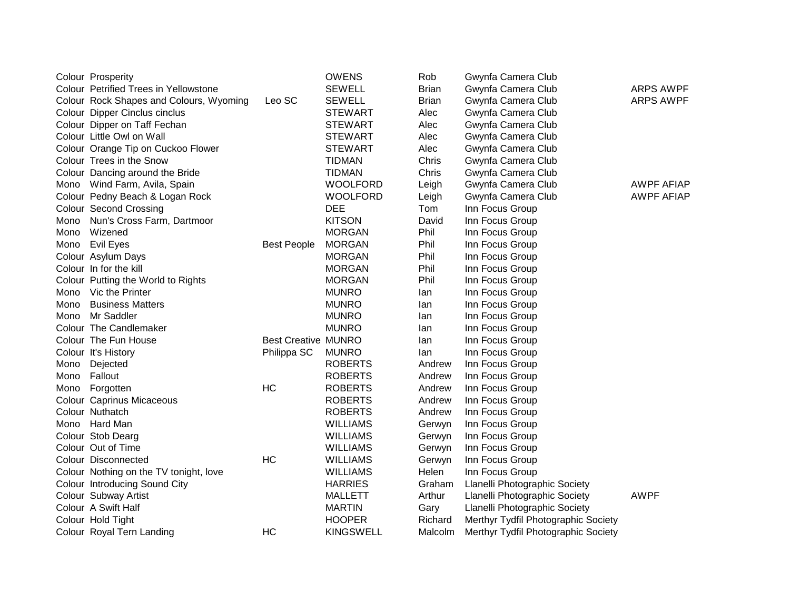|      | Colour Prosperity                       |                            | <b>OWENS</b>     | Rob            | Gwynfa Camera Club                  |                   |
|------|-----------------------------------------|----------------------------|------------------|----------------|-------------------------------------|-------------------|
|      | Colour Petrified Trees in Yellowstone   |                            | <b>SEWELL</b>    | <b>Brian</b>   | Gwynfa Camera Club                  | <b>ARPS AWPF</b>  |
|      | Colour Rock Shapes and Colours, Wyoming | Leo SC                     | <b>SEWELL</b>    | <b>Brian</b>   | Gwynfa Camera Club                  | <b>ARPS AWPF</b>  |
|      | Colour Dipper Cinclus cinclus           |                            | <b>STEWART</b>   | Alec           | Gwynfa Camera Club                  |                   |
|      | Colour Dipper on Taff Fechan            |                            | <b>STEWART</b>   | Alec           | Gwynfa Camera Club                  |                   |
|      | Colour Little Owl on Wall               |                            | <b>STEWART</b>   | Alec           | Gwynfa Camera Club                  |                   |
|      | Colour Orange Tip on Cuckoo Flower      |                            | <b>STEWART</b>   | Alec           | Gwynfa Camera Club                  |                   |
|      | Colour Trees in the Snow                |                            | <b>TIDMAN</b>    | Chris          | Gwynfa Camera Club                  |                   |
|      | Colour Dancing around the Bride         |                            | <b>TIDMAN</b>    | Chris          | Gwynfa Camera Club                  |                   |
|      | Mono Wind Farm, Avila, Spain            |                            | <b>WOOLFORD</b>  | Leigh          | Gwynfa Camera Club                  | <b>AWPF AFIAP</b> |
|      | Colour Pedny Beach & Logan Rock         |                            | <b>WOOLFORD</b>  | Leigh          | Gwynfa Camera Club                  | <b>AWPF AFIAP</b> |
|      | Colour Second Crossing                  |                            | <b>DEE</b>       | Tom            | Inn Focus Group                     |                   |
| Mono | Nun's Cross Farm, Dartmoor              |                            | <b>KITSON</b>    | David          | Inn Focus Group                     |                   |
| Mono | Wizened                                 |                            | <b>MORGAN</b>    | Phil           | Inn Focus Group                     |                   |
|      | Mono Evil Eyes                          | <b>Best People</b>         | <b>MORGAN</b>    | Phil           | Inn Focus Group                     |                   |
|      | Colour Asylum Days                      |                            | <b>MORGAN</b>    | Phil           | Inn Focus Group                     |                   |
|      | Colour In for the kill                  |                            | <b>MORGAN</b>    | Phil           | Inn Focus Group                     |                   |
|      | Colour Putting the World to Rights      |                            | <b>MORGAN</b>    | Phil           | Inn Focus Group                     |                   |
| Mono | Vic the Printer                         |                            | <b>MUNRO</b>     | lan            | Inn Focus Group                     |                   |
| Mono | <b>Business Matters</b>                 |                            | <b>MUNRO</b>     | lan            | Inn Focus Group                     |                   |
| Mono | Mr Saddler                              |                            | <b>MUNRO</b>     | lan            | Inn Focus Group                     |                   |
|      | Colour The Candlemaker                  |                            | <b>MUNRO</b>     | lan            | Inn Focus Group                     |                   |
|      | Colour The Fun House                    | <b>Best Creative MUNRO</b> |                  | lan            | Inn Focus Group                     |                   |
|      | Colour It's History                     | Philippa SC                | <b>MUNRO</b>     | lan            | Inn Focus Group                     |                   |
| Mono | Dejected                                |                            | <b>ROBERTS</b>   | Andrew         | Inn Focus Group                     |                   |
| Mono | Fallout                                 |                            | <b>ROBERTS</b>   | Andrew         | Inn Focus Group                     |                   |
|      | Mono Forgotten                          | <b>HC</b>                  | <b>ROBERTS</b>   | Andrew         | Inn Focus Group                     |                   |
|      | Colour Caprinus Micaceous               |                            | <b>ROBERTS</b>   | Andrew         | Inn Focus Group                     |                   |
|      | Colour Nuthatch                         |                            | <b>ROBERTS</b>   | Andrew         | Inn Focus Group                     |                   |
|      | Mono Hard Man                           |                            | <b>WILLIAMS</b>  | Gerwyn         | Inn Focus Group                     |                   |
|      | Colour Stob Dearg                       |                            | <b>WILLIAMS</b>  | Gerwyn         | Inn Focus Group                     |                   |
|      | Colour Out of Time                      |                            | <b>WILLIAMS</b>  | Gerwyn         | Inn Focus Group                     |                   |
|      | Colour Disconnected                     | HC                         | <b>WILLIAMS</b>  | Gerwyn         | Inn Focus Group                     |                   |
|      | Colour Nothing on the TV tonight, love  |                            | <b>WILLIAMS</b>  | Helen          | Inn Focus Group                     |                   |
|      | Colour Introducing Sound City           |                            | <b>HARRIES</b>   | Graham         | Llanelli Photographic Society       |                   |
|      | Colour Subway Artist                    |                            | <b>MALLETT</b>   | Arthur         | Llanelli Photographic Society       | <b>AWPF</b>       |
|      | Colour A Swift Half                     |                            | <b>MARTIN</b>    | Gary           | Llanelli Photographic Society       |                   |
|      | Colour Hold Tight                       |                            | <b>HOOPER</b>    | Richard        | Merthyr Tydfil Photographic Society |                   |
|      | Colour Royal Tern Landing               | HC                         | <b>KINGSWELL</b> | <b>Malcolm</b> | Merthyr Tydfil Photographic Society |                   |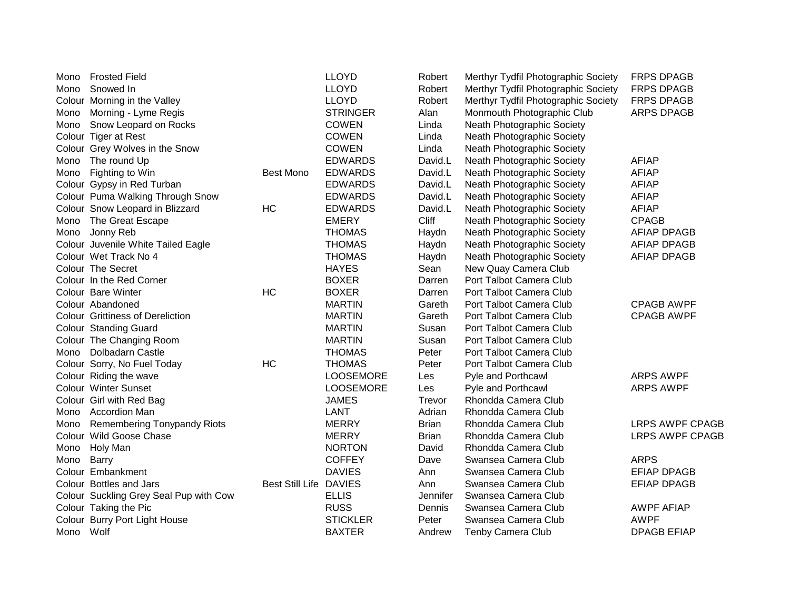| Mono      | <b>Frosted Field</b>                    |                               | <b>LLOYD</b>     | Robert       | Merthyr Tydfil Photographic Society | <b>FRPS DPAGB</b>      |
|-----------|-----------------------------------------|-------------------------------|------------------|--------------|-------------------------------------|------------------------|
| Mono      | Snowed In                               |                               | <b>LLOYD</b>     | Robert       | Merthyr Tydfil Photographic Society | <b>FRPS DPAGB</b>      |
|           | Colour Morning in the Valley            |                               | <b>LLOYD</b>     | Robert       | Merthyr Tydfil Photographic Society | <b>FRPS DPAGB</b>      |
| Mono      | Morning - Lyme Regis                    |                               | <b>STRINGER</b>  | Alan         | Monmouth Photographic Club          | <b>ARPS DPAGB</b>      |
| Mono      | Snow Leopard on Rocks                   |                               | <b>COWEN</b>     | Linda        | Neath Photographic Society          |                        |
|           | Colour Tiger at Rest                    |                               | <b>COWEN</b>     | Linda        | Neath Photographic Society          |                        |
|           | Colour Grey Wolves in the Snow          |                               | <b>COWEN</b>     | Linda        | Neath Photographic Society          |                        |
| Mono      | The round Up                            |                               | <b>EDWARDS</b>   | David.L      | Neath Photographic Society          | <b>AFIAP</b>           |
| Mono      | Fighting to Win                         | <b>Best Mono</b>              | <b>EDWARDS</b>   | David.L      | Neath Photographic Society          | <b>AFIAP</b>           |
|           | Colour Gypsy in Red Turban              |                               | <b>EDWARDS</b>   | David.L      | Neath Photographic Society          | <b>AFIAP</b>           |
|           | Colour Puma Walking Through Snow        |                               | <b>EDWARDS</b>   | David.L      | Neath Photographic Society          | <b>AFIAP</b>           |
|           | Colour Snow Leopard in Blizzard         | HC                            | <b>EDWARDS</b>   | David.L      | Neath Photographic Society          | <b>AFIAP</b>           |
| Mono      | The Great Escape                        |                               | <b>EMERY</b>     | Cliff        | Neath Photographic Society          | <b>CPAGB</b>           |
| Mono      | Jonny Reb                               |                               | <b>THOMAS</b>    | Haydn        | Neath Photographic Society          | <b>AFIAP DPAGB</b>     |
|           | Colour Juvenile White Tailed Eagle      |                               | <b>THOMAS</b>    | Haydn        | Neath Photographic Society          | <b>AFIAP DPAGB</b>     |
|           | Colour Wet Track No 4                   |                               | <b>THOMAS</b>    | Haydn        | Neath Photographic Society          | <b>AFIAP DPAGB</b>     |
|           | Colour The Secret                       |                               | <b>HAYES</b>     | Sean         | New Quay Camera Club                |                        |
|           | Colour In the Red Corner                |                               | <b>BOXER</b>     | Darren       | Port Talbot Camera Club             |                        |
|           | Colour Bare Winter                      | <b>HC</b>                     | <b>BOXER</b>     | Darren       | Port Talbot Camera Club             |                        |
|           | Colour Abandoned                        |                               | <b>MARTIN</b>    | Gareth       | Port Talbot Camera Club             | <b>CPAGB AWPF</b>      |
|           | <b>Colour Grittiness of Dereliction</b> |                               | <b>MARTIN</b>    | Gareth       | Port Talbot Camera Club             | <b>CPAGB AWPF</b>      |
|           | Colour Standing Guard                   |                               | <b>MARTIN</b>    | Susan        | Port Talbot Camera Club             |                        |
|           | Colour The Changing Room                |                               | <b>MARTIN</b>    | Susan        | Port Talbot Camera Club             |                        |
| Mono      | Dolbadarn Castle                        |                               | <b>THOMAS</b>    | Peter        | Port Talbot Camera Club             |                        |
|           | Colour Sorry, No Fuel Today             | HC                            | <b>THOMAS</b>    | Peter        | Port Talbot Camera Club             |                        |
|           | Colour Riding the wave                  |                               | <b>LOOSEMORE</b> | Les          | Pyle and Porthcawl                  | <b>ARPS AWPF</b>       |
|           | <b>Colour Winter Sunset</b>             |                               | <b>LOOSEMORE</b> | Les          | Pyle and Porthcawl                  | <b>ARPS AWPF</b>       |
|           | Colour Girl with Red Bag                |                               | <b>JAMES</b>     | Trevor       | Rhondda Camera Club                 |                        |
| Mono      | <b>Accordion Man</b>                    |                               | LANT             | Adrian       | Rhondda Camera Club                 |                        |
| Mono      | <b>Remembering Tonypandy Riots</b>      |                               | <b>MERRY</b>     | <b>Brian</b> | Rhondda Camera Club                 | <b>LRPS AWPF CPAGB</b> |
|           | Colour Wild Goose Chase                 |                               | <b>MERRY</b>     | <b>Brian</b> | Rhondda Camera Club                 | <b>LRPS AWPF CPAGB</b> |
| Mono      | Holy Man                                |                               | <b>NORTON</b>    | David        | Rhondda Camera Club                 |                        |
| Mono      | Barry                                   |                               | <b>COFFEY</b>    | Dave         | Swansea Camera Club                 | <b>ARPS</b>            |
|           | Colour Embankment                       |                               | <b>DAVIES</b>    | Ann          | Swansea Camera Club                 | <b>EFIAP DPAGB</b>     |
|           | Colour Bottles and Jars                 | <b>Best Still Life DAVIES</b> |                  | Ann          | Swansea Camera Club                 | <b>EFIAP DPAGB</b>     |
|           | Colour Suckling Grey Seal Pup with Cow  |                               | <b>ELLIS</b>     | Jennifer     | Swansea Camera Club                 |                        |
|           | Colour Taking the Pic                   |                               | <b>RUSS</b>      | Dennis       | Swansea Camera Club                 | <b>AWPF AFIAP</b>      |
|           | Colour Burry Port Light House           |                               | <b>STICKLER</b>  | Peter        | Swansea Camera Club                 | <b>AWPF</b>            |
| Mono Wolf |                                         |                               | <b>BAXTER</b>    | Andrew       | <b>Tenby Camera Club</b>            | <b>DPAGB EFIAP</b>     |
|           |                                         |                               |                  |              |                                     |                        |